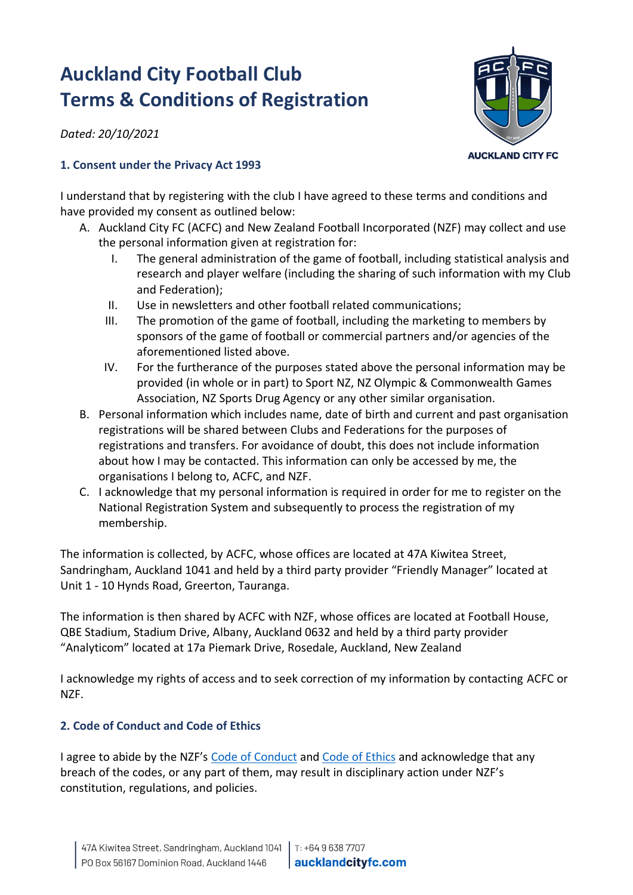# **Auckland City Football Club Terms & Conditions of Registration**

*Dated: 20/10/2021*

# **AUCKLAND CITY FC**

## **1. Consent under the Privacy Act 1993**

I understand that by registering with the club I have agreed to these terms and conditions and have provided my consent as outlined below:

- A. Auckland City FC (ACFC) and New Zealand Football Incorporated (NZF) may collect and use the personal information given at registration for:
	- I. The general administration of the game of football, including statistical analysis and research and player welfare (including the sharing of such information with my Club and Federation);
	- II. Use in newsletters and other football related communications;
	- III. The promotion of the game of football, including the marketing to members by sponsors of the game of football or commercial partners and/or agencies of the aforementioned listed above.
	- IV. For the furtherance of the purposes stated above the personal information may be provided (in whole or in part) to Sport NZ, NZ Olympic & Commonwealth Games Association, NZ Sports Drug Agency or any other similar organisation.
- B. Personal information which includes name, date of birth and current and past organisation registrations will be shared between Clubs and Federations for the purposes of registrations and transfers. For avoidance of doubt, this does not include information about how I may be contacted. This information can only be accessed by me, the organisations I belong to, ACFC, and NZF.
- C. I acknowledge that my personal information is required in order for me to register on the National Registration System and subsequently to process the registration of my membership.

The information is collected, by ACFC, whose offices are located at 47A Kiwitea Street, Sandringham, Auckland 1041 and held by a third party provider "Friendly Manager" located at Unit 1 - 10 Hynds Road, Greerton, Tauranga.

The information is then shared by ACFC with NZF, whose offices are located at Football House, QBE Stadium, Stadium Drive, Albany, Auckland 0632 and held by a third party provider "Analyticom" located at 17a Piemark Drive, Rosedale, Auckland, New Zealand

I acknowledge my rights of access and to seek correction of my information by contacting ACFC or NZF.

# **2. Code of Conduct and Code of Ethics**

I agree to abide by the NZF's [Code of Conduct](https://www.sporty.co.nz/asset/downloadasset?id=14e7bb3c-9631-4a1d-8d53-2466a515d0ea) and [Code of Ethics](http://www.sporty.co.nz/asset/downloadasset?id=504416bc-fa7b-4492-b917-1535f8f1f818) and acknowledge that any breach of the codes, or any part of them, may result in disciplinary action under NZF's constitution, regulations, and policies.